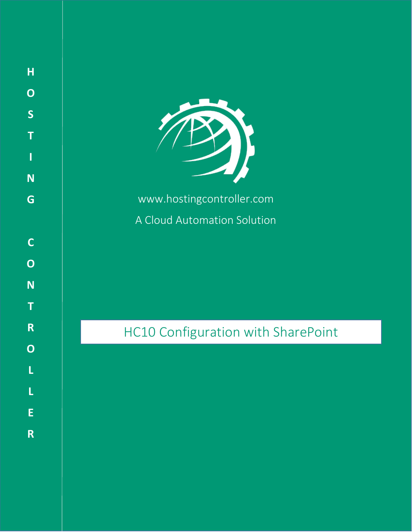

**H**

**O**

**S**

**T**

**I**

**N**

**G**

**C**

**O**

**N**

**T**

**R**

**O**

**L**

**L**

**E**

**R**

www.hostingcontroller.com

A Cloud Automation Solution

HC10 Configuration with SharePoint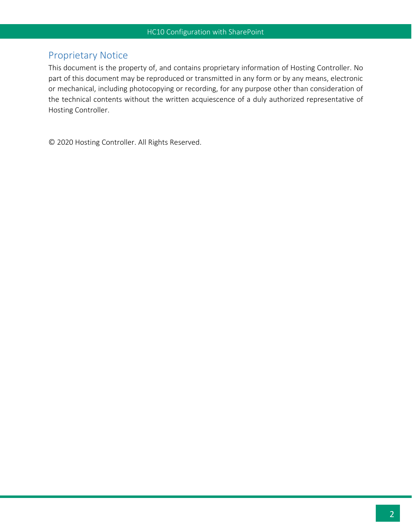# <span id="page-1-0"></span>Proprietary Notice

This document is the property of, and contains proprietary information of Hosting Controller. No part of this document may be reproduced or transmitted in any form or by any means, electronic or mechanical, including photocopying or recording, for any purpose other than consideration of the technical contents without the written acquiescence of a duly authorized representative of Hosting Controller.

© 2020 Hosting Controller. All Rights Reserved.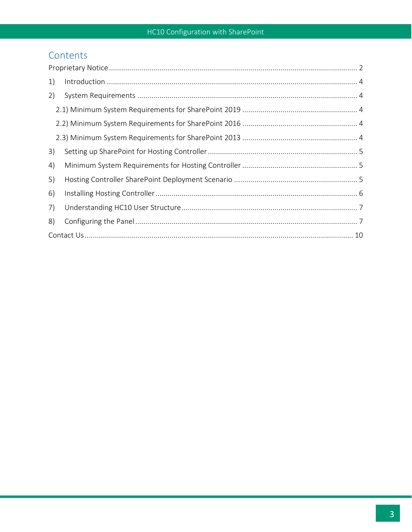# Contents

| 1) |  |  |
|----|--|--|
| 2) |  |  |
|    |  |  |
|    |  |  |
|    |  |  |
| 3) |  |  |
| 4) |  |  |
| 5) |  |  |
| 6) |  |  |
| 7) |  |  |
| 8) |  |  |
|    |  |  |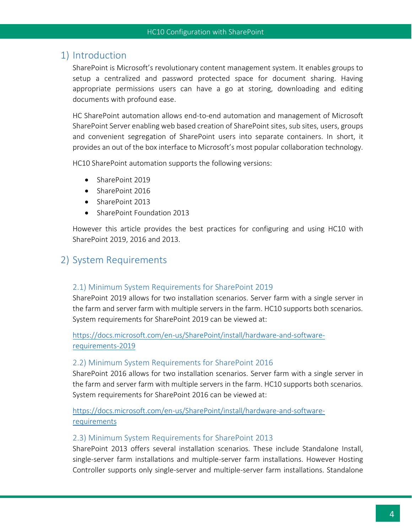## <span id="page-3-0"></span>1) Introduction

SharePoint is Microsoft's revolutionary content management system. It enables groups to setup a centralized and password protected space for document sharing. Having appropriate permissions users can have a go at storing, downloading and editing documents with profound ease.

HC SharePoint automation allows end-to-end automation and management of Microsoft SharePoint Server enabling web based creation of SharePoint sites, sub sites, users, groups and convenient segregation of SharePoint users into separate containers. In short, it provides an out of the box interface to Microsoft's most popular collaboration technology.

HC10 SharePoint automation supports the following versions:

- SharePoint 2019
- SharePoint 2016
- SharePoint 2013
- SharePoint Foundation 2013

However this article provides the best practices for configuring and using HC10 with SharePoint 2019, 2016 and 2013.

## <span id="page-3-1"></span>2) System Requirements

#### <span id="page-3-2"></span>2.1) Minimum System Requirements for SharePoint 2019

SharePoint 2019 allows for two installation scenarios. Server farm with a single server in the farm and server farm with multiple servers in the farm. HC10 supports both scenarios. System requirements for SharePoint 2019 can be viewed at:

[https://docs.microsoft.com/en-us/SharePoint/install/hardware-and-software](https://docs.microsoft.com/en-us/SharePoint/install/hardware-and-software-requirements-2019)[requirements-2019](https://docs.microsoft.com/en-us/SharePoint/install/hardware-and-software-requirements-2019)

#### <span id="page-3-3"></span>2.2) Minimum System Requirements for SharePoint 2016

SharePoint 2016 allows for two installation scenarios. Server farm with a single server in the farm and server farm with multiple servers in the farm. HC10 supports both scenarios. System requirements for SharePoint 2016 can be viewed at:

[https://docs.microsoft.com/en-us/SharePoint/install/hardware-and-software](https://docs.microsoft.com/en-us/SharePoint/install/hardware-and-software-requirements)[requirements](https://docs.microsoft.com/en-us/SharePoint/install/hardware-and-software-requirements)

#### <span id="page-3-4"></span>2.3) Minimum System Requirements for SharePoint 2013

SharePoint 2013 offers several installation scenarios. These include Standalone Install, single-server farm installations and multiple-server farm installations. However Hosting Controller supports only single-server and multiple-server farm installations. Standalone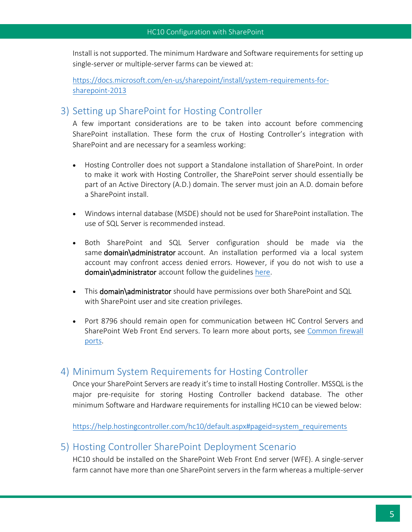Install is not supported. The minimum Hardware and Software requirements for setting up single-server or multiple-server farms can be viewed at:

[https://docs.microsoft.com/en-us/sharepoint/install/system-requirements-for](https://docs.microsoft.com/en-us/sharepoint/install/system-requirements-for-sharepoint-2013)[sharepoint-2013](https://docs.microsoft.com/en-us/sharepoint/install/system-requirements-for-sharepoint-2013)

## <span id="page-4-0"></span>3) Setting up SharePoint for Hosting Controller

A few important considerations are to be taken into account before commencing SharePoint installation. These form the crux of Hosting Controller's integration with SharePoint and are necessary for a seamless working:

- Hosting Controller does not support a Standalone installation of SharePoint. In order to make it work with Hosting Controller, the SharePoint server should essentially be part of an Active Directory (A.D.) domain. The server must join an A.D. domain before a SharePoint install.
- Windows internal database (MSDE) should not be used for SharePoint installation. The use of SQL Server is recommended instead.
- Both SharePoint and SQL Server configuration should be made via the same domain\administrator account. An installation performed via a local system account may confront access denied errors. However, if you do not wish to use a domain\administrator account follow the guidelines [here.](https://portal.hostingcontroller.com/kb/a3349/how-to-configure-sharepoint-with-hc-with-non-domain-admin-user-account-.aspx)
- This domain\administrator should have permissions over both SharePoint and SQL with SharePoint user and site creation privileges.
- Port 8796 should remain open for communication between HC Control Servers and SharePoint Web Front End servers. To learn more about ports, see [Common firewall](https://portal.hostingcontroller.com/kb/a64/common-firewall-ports-setting.aspx)  [ports.](https://portal.hostingcontroller.com/kb/a64/common-firewall-ports-setting.aspx)

## <span id="page-4-1"></span>4) Minimum System Requirements for Hosting Controller

Once your SharePoint Servers are ready it's time to install Hosting Controller. MSSQL is the major pre-requisite for storing Hosting Controller backend database. The other minimum Software and Hardware requirements for installing HC10 can be viewed below:

[https://help.hostingcontroller.com/hc10/default.aspx#pageid=system\\_requirements](https://help.hostingcontroller.com/hc10/default.aspx#pageid=system_requirements)

### <span id="page-4-2"></span>5) Hosting Controller SharePoint Deployment Scenario

HC10 should be installed on the SharePoint Web Front End server (WFE). A single-server farm cannot have more than one SharePoint servers in the farm whereas a multiple-server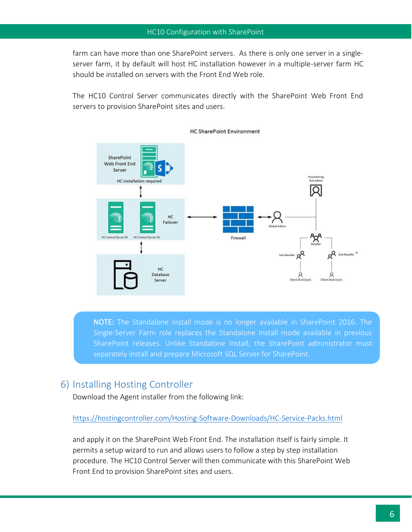farm can have more than one SharePoint servers. As there is only one server in a singleserver farm, it by default will host HC installation however in a multiple-server farm HC should be installed on servers with the Front End Web role.

The HC10 Control Server communicates directly with the SharePoint Web Front End servers to provision SharePoint sites and users.



**HC SharePoint Environment** 

NOTE: The Standalone Install mode is no longer available in SharePoint 2016. The Single-Server Farm role replaces the Standalone Install mode available in previous SharePoint releases. Unlike Standalone Install, the SharePoint administrator must separately install and prepare Microsoft SQL Server for SharePoint.

## <span id="page-5-0"></span>6) Installing Hosting Controller

Download the Agent installer from the following link:

#### https://hostingcontroller.com/Hosting-Software-Downloads/HC-Service-Packs.html

and apply it on the SharePoint Web Front End. The installation itself is fairly simple. It permits a setup wizard to run and allows users to follow a step by step installation procedure. The HC10 Control Server will then communicate with this SharePoint Web Front End to provision SharePoint sites and users.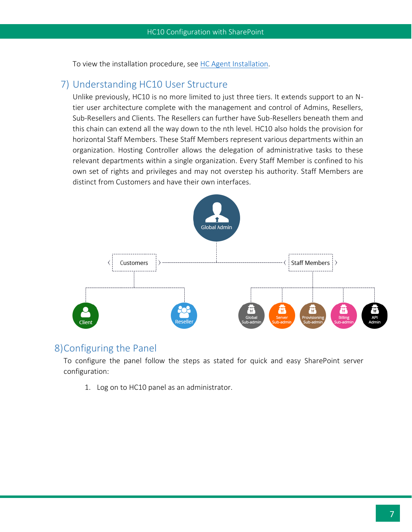To view the installation procedure, see [HC Agent Installation.](https://help.hostingcontroller.com/hc10/default.aspx#pageid=hc_agent_installation)

### <span id="page-6-0"></span>7) Understanding HC10 User Structure

Unlike previously, HC10 is no more limited to just three tiers. It extends support to an Ntier user architecture complete with the management and control of Admins, Resellers, Sub-Resellers and Clients. The Resellers can further have Sub-Resellers beneath them and this chain can extend all the way down to the nth level. HC10 also holds the provision for horizontal Staff Members. These Staff Members represent various departments within an organization. Hosting Controller allows the delegation of administrative tasks to these relevant departments within a single organization. Every Staff Member is confined to his own set of rights and privileges and may not overstep his authority. Staff Members are distinct from Customers and have their own interfaces.



### <span id="page-6-1"></span>8)Configuring the Panel

To configure the panel follow the steps as stated for quick and easy SharePoint server configuration:

1. Log on to HC10 panel as an administrator.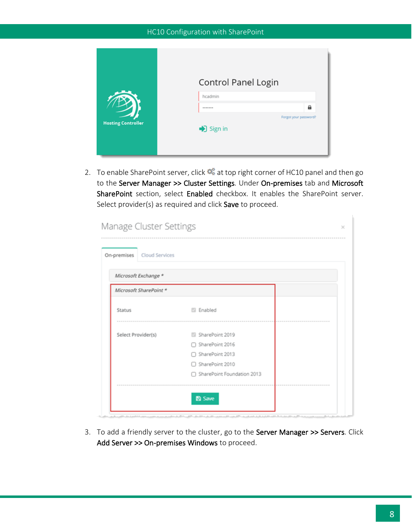|                           | Control Panel Login                   |
|---------------------------|---------------------------------------|
|                           | hcadmin                               |
|                           | a<br>*******<br>Forgot your password? |
| <b>Hosting Controller</b> | Sign in                               |
|                           |                                       |

2. To enable SharePoint server, click  $\bullet$  at top right corner of HC10 panel and then go to the Server Manager >> Cluster Settings. Under On-premises tab and Microsoft SharePoint section, select Enabled checkbox. It enables the SharePoint server. Select provider(s) as required and click Save to proceed.

| On-premises<br>Cloud Services |                              |  |
|-------------------------------|------------------------------|--|
| Microsoft Exchange *          |                              |  |
| Microsoft SharePoint *        |                              |  |
| Status                        | <b>Enabled</b>               |  |
| Select Provider(s)            | SharePoint 2019              |  |
|                               | □ SharePoint 2016            |  |
|                               | □ SharePoint 2013            |  |
|                               | □ SharePoint 2010            |  |
|                               | □ SharePoint Foundation 2013 |  |

3. To add a friendly server to the cluster, go to the Server Manager >> Servers. Click Add Server >> On-premises Windows to proceed.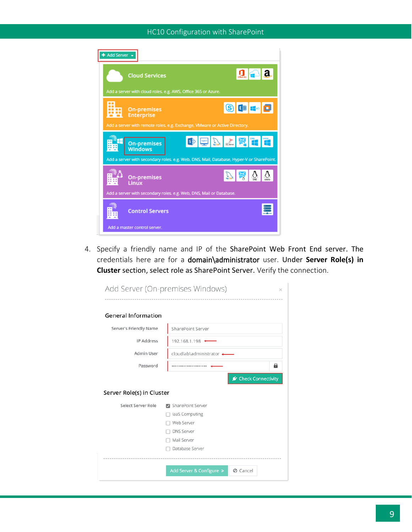

4. Specify a friendly name and IP of the SharePoint Web Front End server. The credentials here are for a domain\administrator user. Under **Server Role(s) in Cluster** section, select role as SharePoint Server. Verify the connection.

| Add Server (On-premises Windows) |                            | ×                    |  |  |  |
|----------------------------------|----------------------------|----------------------|--|--|--|
| <b>General Information</b>       |                            |                      |  |  |  |
| Server's Friendly Name           | SharePoint Server          |                      |  |  |  |
| <b>IP Address</b>                | 192.168.1.198 $\leftarrow$ |                      |  |  |  |
| Admin User                       | cloudlab\administrator <   |                      |  |  |  |
| Password                         |                            | 8                    |  |  |  |
|                                  |                            | ★ Check Connectivity |  |  |  |
| Server Role(s) in Cluster        |                            |                      |  |  |  |
| Select Server Role               | SharePoint Server          |                      |  |  |  |
|                                  | laaS Computing             |                      |  |  |  |
|                                  | Web Server                 |                      |  |  |  |
|                                  | <b>DNS Server</b>          |                      |  |  |  |
| Mail Server                      |                            |                      |  |  |  |
|                                  |                            |                      |  |  |  |
|                                  | Database Server            |                      |  |  |  |
|                                  |                            |                      |  |  |  |